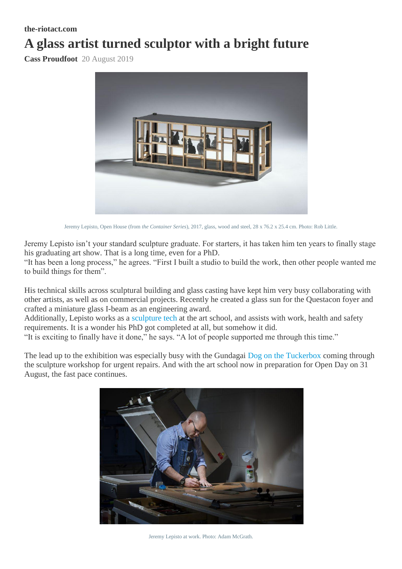## **the-riotact.com**

## **A glass artist turned sculptor with a bright future**

**Cass Proudfoot** 20 August 2019



Jeremy Lepisto, Open House (from *the Container Series*), 2017, glass, wood and steel, 28 x 76.2 x 25.4 cm. Photo: Rob Little.

Jeremy Lepisto isn't your standard sculpture graduate. For starters, it has taken him ten years to finally stage his graduating art show. That is a long time, even for a PhD.

"It has been a long process," he agrees. "First I built a studio to build the work, then other people wanted me to build things for them".

His technical skills across sculptural building and glass casting have kept him very busy collaborating with other artists, as well as on commercial projects. Recently he created a glass sun for the Questacon foyer and crafted a miniature glass I-beam as an engineering award.

Additionally, Lepisto works as a [sculpture tech](https://soad.cass.anu.edu.au/people/jeremy-lepisto-0) at the art school, and assists with work, health and safety requirements. It is a wonder his PhD got completed at all, but somehow it did.

"It is exciting to finally have it done," he says. "A lot of people supported me through this time."

The lead up to the exhibition was especially busy with the Gundagai [Dog on the Tuckerbox](https://the-riotact.com/down-but-not-out-dog-on-the-tuckerbox-returns-to-heroic-festivities/317661) coming through the sculpture workshop for urgent repairs. And with the art school now in preparation for Open Day on 31 August, the fast pace continues.



Jeremy Lepisto at work. Photo: Adam McGrath.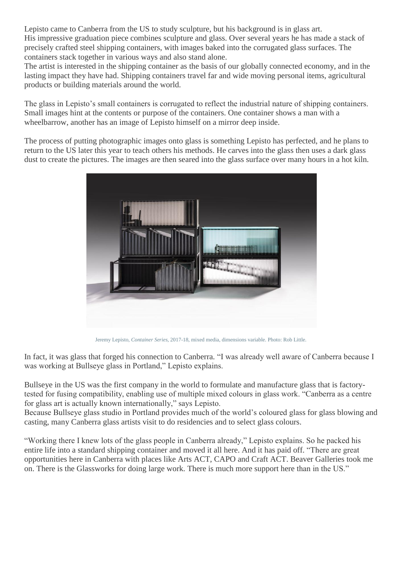Lepisto came to Canberra from the US to study sculpture, but his background is in glass art. His impressive graduation piece combines sculpture and glass. Over several years he has made a stack of precisely crafted steel shipping containers, with images baked into the corrugated glass surfaces. The containers stack together in various ways and also stand alone.

The artist is interested in the shipping container as the basis of our globally connected economy, and in the lasting impact they have had. Shipping containers travel far and wide moving personal items, agricultural products or building materials around the world.

The glass in Lepisto's small containers is corrugated to reflect the industrial nature of shipping containers. Small images hint at the contents or purpose of the containers. One container shows a man with a wheelbarrow, another has an image of Lepisto himself on a mirror deep inside.

The process of putting photographic images onto glass is something Lepisto has perfected, and he plans to return to the US later this year to teach others his methods. He carves into the glass then uses a dark glass dust to create the pictures. The images are then seared into the glass surface over many hours in a hot kiln.



Jeremy Lepisto, *Container Series,* 2017-18, mixed media, dimensions variable. Photo: Rob Little.

In fact, it was glass that forged his connection to Canberra. "I was already well aware of Canberra because I was working at Bullseye glass in Portland," Lepisto explains.

Bullseye in the US was the first company in the world to formulate and manufacture glass that is factorytested for fusing compatibility, enabling use of multiple mixed colours in glass work. "Canberra as a centre for glass art is actually known internationally," says Lepisto.

Because Bullseye glass studio in Portland provides much of the world's coloured glass for glass blowing and casting, many Canberra glass artists visit to do residencies and to select glass colours.

"Working there I knew lots of the glass people in Canberra already," Lepisto explains. So he packed his entire life into a standard shipping container and moved it all here. And it has paid off. "There are great opportunities here in Canberra with places like Arts ACT, CAPO and Craft ACT. Beaver Galleries took me on. There is the Glassworks for doing large work. There is much more support here than in the US."